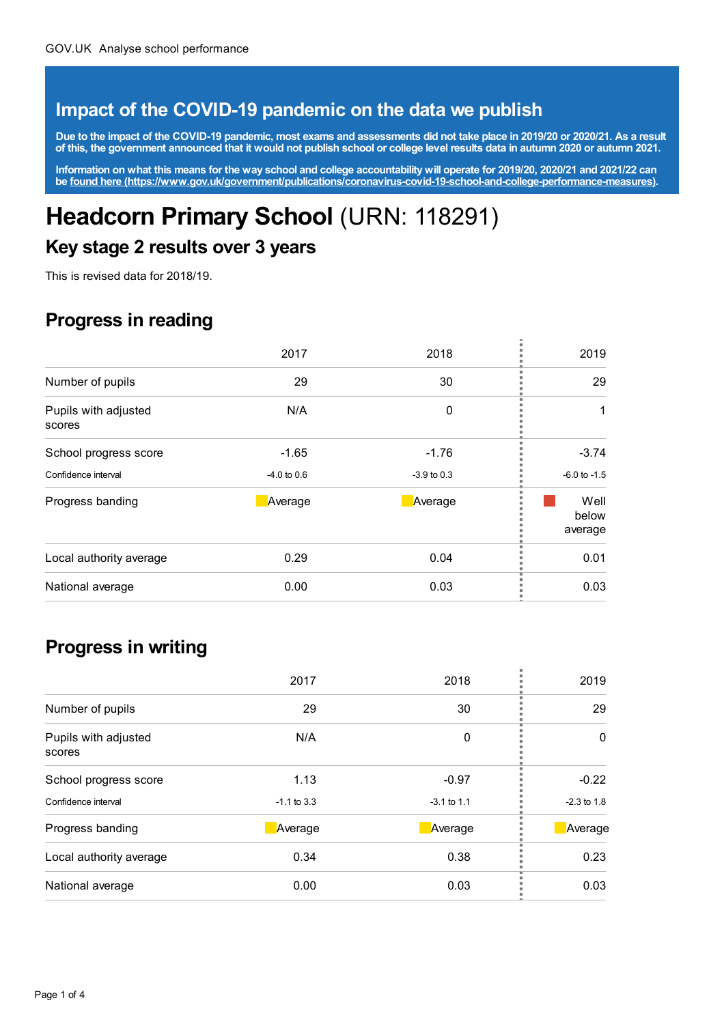### **Impact of the COVID-19 pandemic on the data we publish**

Due to the impact of the COVID-19 pandemic, most exams and assessments did not take place in 2019/20 or 2020/21. As a result of this, the government announced that it would not publish school or college level results data in autumn 2020 or autumn 2021.

Information on what this means for the way school and college accountability will operate for 2019/20, 2020/21 and 2021/22 can **be found here [\(https://www.gov.uk/government/publications/coronavirus-covid-19-school-and-college-performance-measures\)](https://www.gov.uk/government/publications/coronavirus-covid-19-school-and-college-performance-measures).**

# **Headcorn Primary School** (URN: 118291)

#### **Key stage 2 results over 3 years**

This is revised data for 2018/19.

# **Progress in reading**

|                                | 2017          | 2018          | 2019                     |
|--------------------------------|---------------|---------------|--------------------------|
| Number of pupils               | 29            | 30            | 29                       |
| Pupils with adjusted<br>scores | N/A           | 0             |                          |
| School progress score          | $-1.65$       | $-1.76$       | $-3.74$                  |
| Confidence interval            | $-4.0$ to 0.6 | $-3.9$ to 0.3 | $-6.0$ to $-1.5$         |
| Progress banding               | Average       | Average       | Well<br>below<br>average |
| Local authority average        | 0.29          | 0.04          | 0.01                     |
| National average               | 0.00          | 0.03          | 0.03                     |

#### **Progress in writing**

|                                | 2017          | 2018          | 2019          |
|--------------------------------|---------------|---------------|---------------|
| Number of pupils               | 29            | 30            | 29            |
| Pupils with adjusted<br>scores | N/A           | 0             | $\Omega$      |
| School progress score          | 1.13          | $-0.97$       | $-0.22$       |
| Confidence interval            | $-1.1$ to 3.3 | $-3.1$ to 1.1 | $-2.3$ to 1.8 |
| Progress banding               | Average       | Average       | Average       |
| Local authority average        | 0.34          | 0.38          | 0.23          |
| National average               | 0.00          | 0.03          | 0.03          |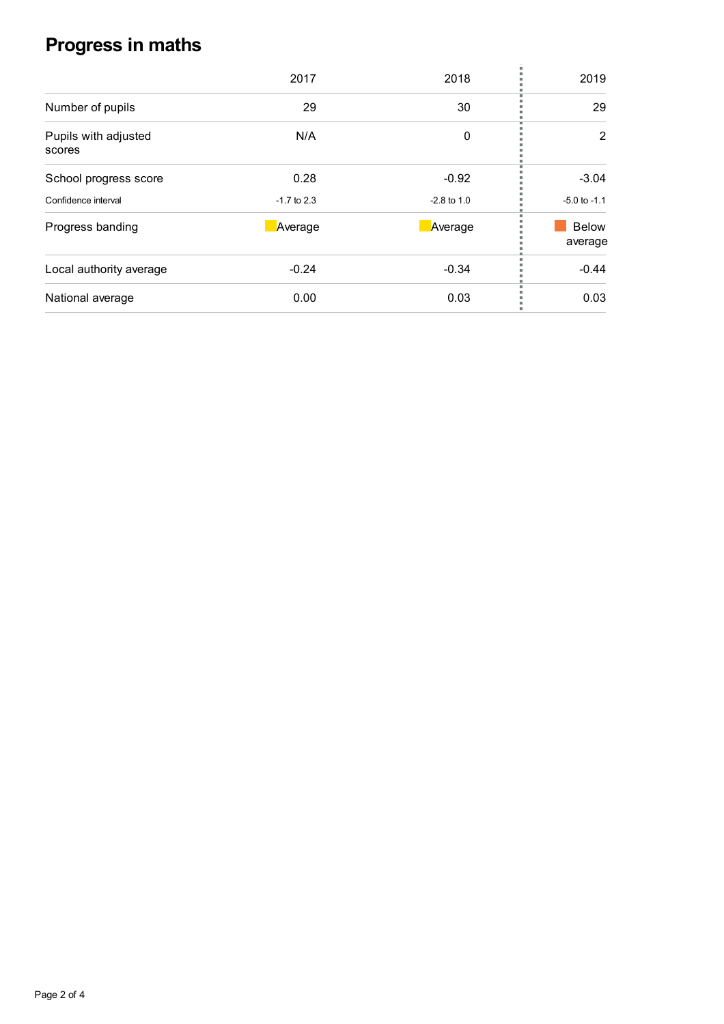# **Progress in maths**

| 2017          | 2018          | 2019                    |
|---------------|---------------|-------------------------|
| 29            | 30            | 29                      |
| N/A           | 0             | 2                       |
| 0.28          | $-0.92$       | $-3.04$                 |
| $-1.7$ to 2.3 | $-2.8$ to 1.0 | $-5.0$ to $-1.1$        |
| Average       | Average       | <b>Below</b><br>average |
| $-0.24$       | $-0.34$       | $-0.44$                 |
| 0.00          | 0.03          | 0.03                    |
|               |               |                         |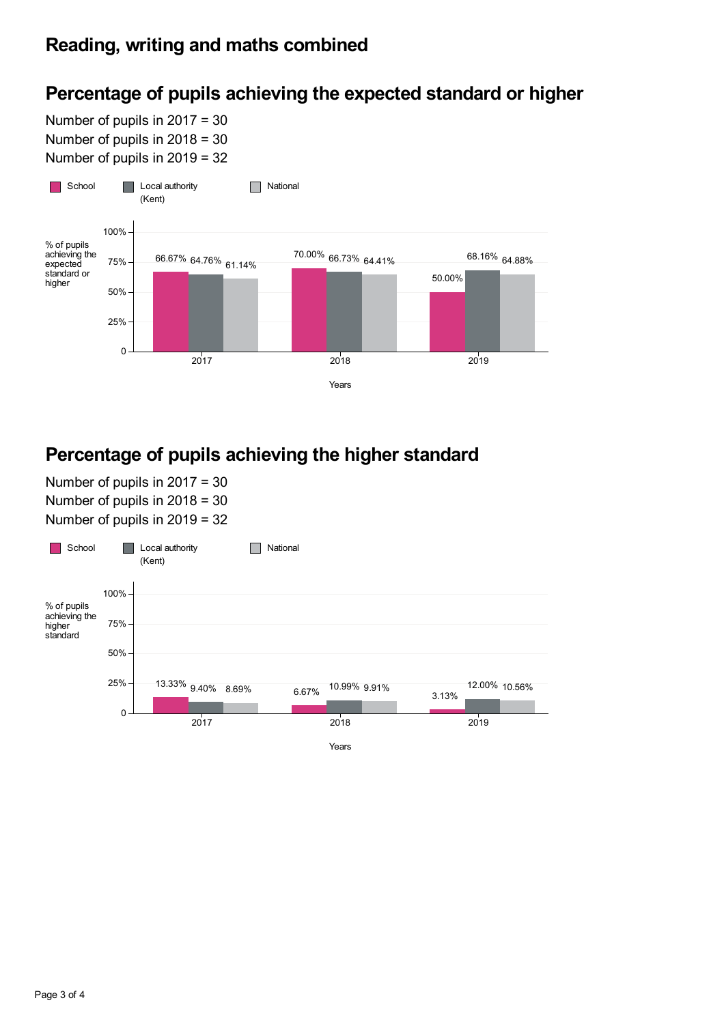# **Percentage of pupils achieving the expected standard or higher**

Number of pupils in 2017 = 30 Number of pupils in 2018 = 30 Number of pupils in 2019 = 32



## **Percentage of pupils achieving the higher standard**

Number of pupils in 2017 = 30 Number of pupils in 2018 = 30 Number of pupils in 2019 = 32